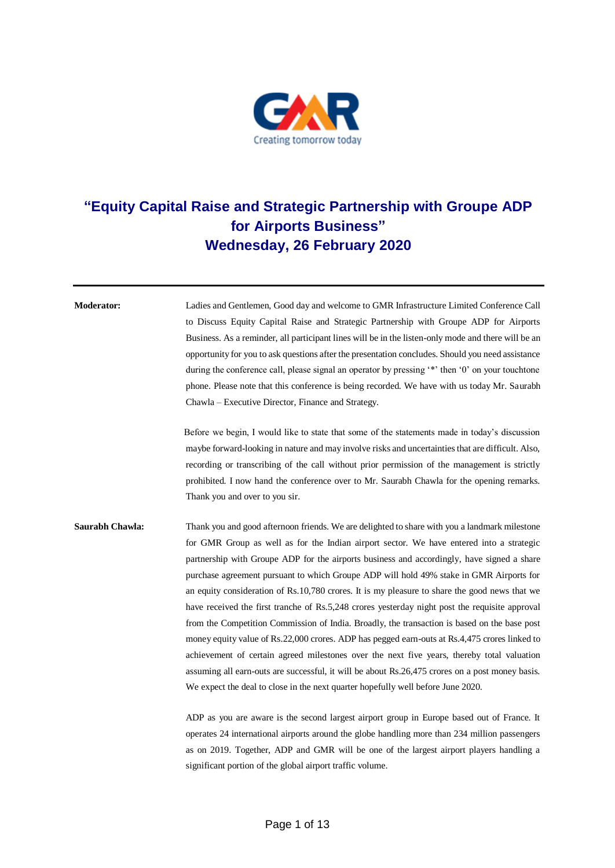

## **"Equity Capital Raise and Strategic Partnership with Groupe ADP for Airports Business" Wednesday, 26 February 2020**

**Moderator:** Ladies and Gentlemen, Good day and welcome to GMR Infrastructure Limited Conference Call to Discuss Equity Capital Raise and Strategic Partnership with Groupe ADP for Airports Business. As a reminder, all participant lines will be in the listen-only mode and there will be an opportunity for you to ask questions after the presentation concludes. Should you need assistance during the conference call, please signal an operator by pressing '\*' then '0' on your touchtone phone. Please note that this conference is being recorded. We have with us today Mr. Saurabh Chawla – Executive Director, Finance and Strategy.

> Before we begin, I would like to state that some of the statements made in today's discussion maybe forward-looking in nature and may involve risks and uncertainties that are difficult. Also, recording or transcribing of the call without prior permission of the management is strictly prohibited. I now hand the conference over to Mr. Saurabh Chawla for the opening remarks. Thank you and over to you sir.

**Saurabh Chawla:** Thank you and good afternoon friends. We are delighted to share with you a landmark milestone for GMR Group as well as for the Indian airport sector. We have entered into a strategic partnership with Groupe ADP for the airports business and accordingly, have signed a share purchase agreement pursuant to which Groupe ADP will hold 49% stake in GMR Airports for an equity consideration of Rs.10,780 crores. It is my pleasure to share the good news that we have received the first tranche of Rs.5,248 crores yesterday night post the requisite approval from the Competition Commission of India. Broadly, the transaction is based on the base post money equity value of Rs.22,000 crores. ADP has pegged earn-outs at Rs.4,475 crores linked to achievement of certain agreed milestones over the next five years, thereby total valuation assuming all earn-outs are successful, it will be about Rs.26,475 crores on a post money basis. We expect the deal to close in the next quarter hopefully well before June 2020.

> ADP as you are aware is the second largest airport group in Europe based out of France. It operates 24 international airports around the globe handling more than 234 million passengers as on 2019. Together, ADP and GMR will be one of the largest airport players handling a significant portion of the global airport traffic volume.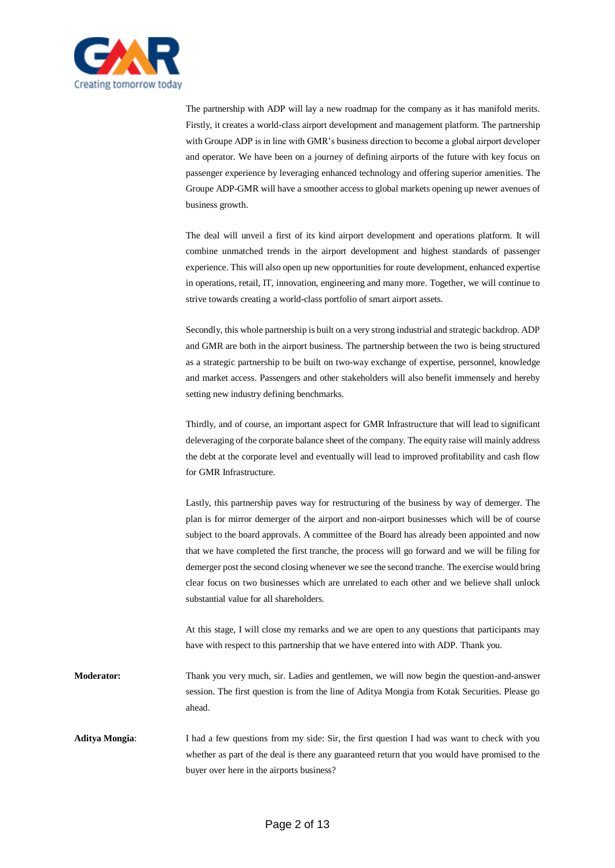

The partnership with ADP will lay a new roadmap for the company as it has manifold merits. Firstly, it creates a world-class airport development and management platform. The partnership with Groupe ADP is in line with GMR's business direction to become a global airport developer and operator. We have been on a journey of defining airports of the future with key focus on passenger experience by leveraging enhanced technology and offering superior amenities. The Groupe ADP-GMR will have a smoother access to global markets opening up newer avenues of business growth.

The deal will unveil a first of its kind airport development and operations platform. It will combine unmatched trends in the airport development and highest standards of passenger experience. This will also open up new opportunities for route development, enhanced expertise in operations, retail, IT, innovation, engineering and many more. Together, we will continue to strive towards creating a world-class portfolio of smart airport assets.

Secondly, this whole partnership is built on a very strong industrial and strategic backdrop. ADP and GMR are both in the airport business. The partnership between the two is being structured as a strategic partnership to be built on two-way exchange of expertise, personnel, knowledge and market access. Passengers and other stakeholders will also benefit immensely and hereby setting new industry defining benchmarks.

Thirdly, and of course, an important aspect for GMR Infrastructure that will lead to significant deleveraging of the corporate balance sheet of the company. The equity raise will mainly address the debt at the corporate level and eventually will lead to improved profitability and cash flow for GMR Infrastructure.

Lastly, this partnership paves way for restructuring of the business by way of demerger. The plan is for mirror demerger of the airport and non-airport businesses which will be of course subject to the board approvals. A committee of the Board has already been appointed and now that we have completed the first tranche, the process will go forward and we will be filing for demerger post the second closing whenever we see the second tranche. The exercise would bring clear focus on two businesses which are unrelated to each other and we believe shall unlock substantial value for all shareholders.

At this stage, I will close my remarks and we are open to any questions that participants may have with respect to this partnership that we have entered into with ADP. Thank you.

**Moderator:** Thank you very much, sir. Ladies and gentlemen, we will now begin the question-and-answer session. The first question is from the line of Aditya Mongia from Kotak Securities. Please go ahead.

**Aditya Mongia**: I had a few questions from my side: Sir, the first question I had was want to check with you whether as part of the deal is there any guaranteed return that you would have promised to the buyer over here in the airports business?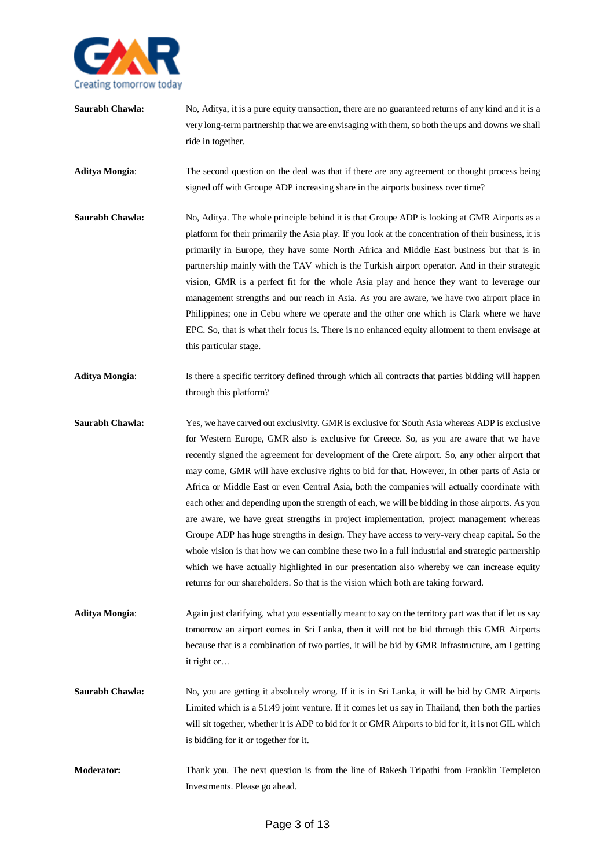

**Saurabh Chawla:** No, Aditya, it is a pure equity transaction, there are no guaranteed returns of any kind and it is a very long-term partnership that we are envisaging with them, so both the ups and downs we shall ride in together.

**Aditya Mongia**: The second question on the deal was that if there are any agreement or thought process being signed off with Groupe ADP increasing share in the airports business over time?

- **Saurabh Chawla:** No, Aditya. The whole principle behind it is that Groupe ADP is looking at GMR Airports as a platform for their primarily the Asia play. If you look at the concentration of their business, it is primarily in Europe, they have some North Africa and Middle East business but that is in partnership mainly with the TAV which is the Turkish airport operator. And in their strategic vision, GMR is a perfect fit for the whole Asia play and hence they want to leverage our management strengths and our reach in Asia. As you are aware, we have two airport place in Philippines; one in Cebu where we operate and the other one which is Clark where we have EPC. So, that is what their focus is. There is no enhanced equity allotment to them envisage at this particular stage.
- **Aditya Mongia**: Is there a specific territory defined through which all contracts that parties bidding will happen through this platform?
- **Saurabh Chawla:** Yes, we have carved out exclusivity. GMR is exclusive for South Asia whereas ADP is exclusive for Western Europe, GMR also is exclusive for Greece. So, as you are aware that we have recently signed the agreement for development of the Crete airport. So, any other airport that may come, GMR will have exclusive rights to bid for that. However, in other parts of Asia or Africa or Middle East or even Central Asia, both the companies will actually coordinate with each other and depending upon the strength of each, we will be bidding in those airports. As you are aware, we have great strengths in project implementation, project management whereas Groupe ADP has huge strengths in design. They have access to very-very cheap capital. So the whole vision is that how we can combine these two in a full industrial and strategic partnership which we have actually highlighted in our presentation also whereby we can increase equity returns for our shareholders. So that is the vision which both are taking forward.

**Aditya Mongia**: Again just clarifying, what you essentially meant to say on the territory part was that if let us say tomorrow an airport comes in Sri Lanka, then it will not be bid through this GMR Airports because that is a combination of two parties, it will be bid by GMR Infrastructure, am I getting it right or…

- **Saurabh Chawla:** No, you are getting it absolutely wrong. If it is in Sri Lanka, it will be bid by GMR Airports Limited which is a 51:49 joint venture. If it comes let us say in Thailand, then both the parties will sit together, whether it is ADP to bid for it or GMR Airports to bid for it, it is not GIL which is bidding for it or together for it.
- **Moderator:** Thank you. The next question is from the line of Rakesh Tripathi from Franklin Templeton Investments. Please go ahead.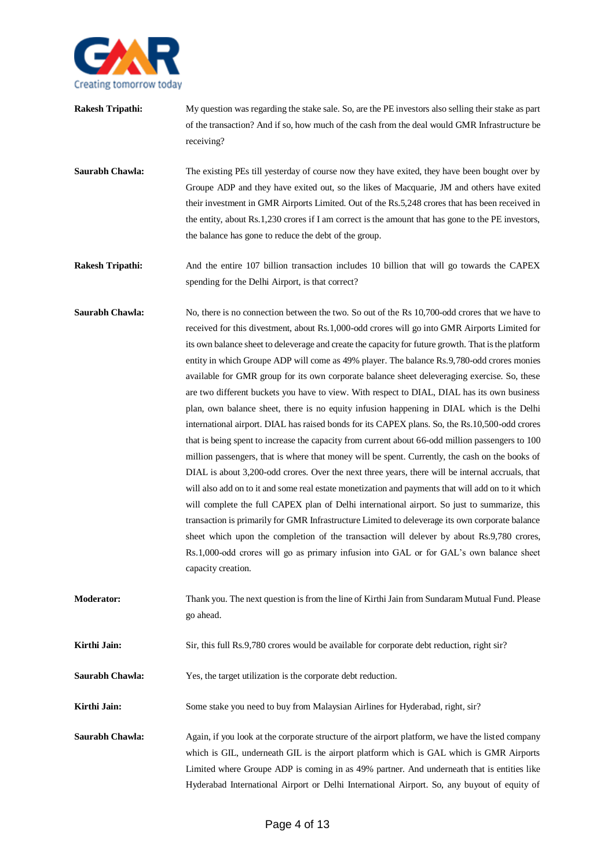

| Rakesh Tripathi: | My question was regarding the stake sale. So, are the PE investors also selling their stake as part |
|------------------|-----------------------------------------------------------------------------------------------------|
|                  | of the transaction? And if so, how much of the cash from the deal would GMR Infrastructure be       |
|                  | receiving?                                                                                          |
|                  |                                                                                                     |

**Saurabh Chawla:** The existing PEs till yesterday of course now they have exited, they have been bought over by Groupe ADP and they have exited out, so the likes of Macquarie, JM and others have exited their investment in GMR Airports Limited. Out of the Rs.5,248 crores that has been received in the entity, about Rs.1,230 crores if I am correct is the amount that has gone to the PE investors, the balance has gone to reduce the debt of the group.

**Rakesh Tripathi:** And the entire 107 billion transaction includes 10 billion that will go towards the CAPEX spending for the Delhi Airport, is that correct?

- **Saurabh Chawla:** No, there is no connection between the two. So out of the Rs 10,700-odd crores that we have to received for this divestment, about Rs.1,000-odd crores will go into GMR Airports Limited for its own balance sheet to deleverage and create the capacity for future growth. That is the platform entity in which Groupe ADP will come as 49% player. The balance Rs.9,780-odd crores monies available for GMR group for its own corporate balance sheet deleveraging exercise. So, these are two different buckets you have to view. With respect to DIAL, DIAL has its own business plan, own balance sheet, there is no equity infusion happening in DIAL which is the Delhi international airport. DIAL has raised bonds for its CAPEX plans. So, the Rs.10,500-odd crores that is being spent to increase the capacity from current about 66-odd million passengers to 100 million passengers, that is where that money will be spent. Currently, the cash on the books of DIAL is about 3,200-odd crores. Over the next three years, there will be internal accruals, that will also add on to it and some real estate monetization and payments that will add on to it which will complete the full CAPEX plan of Delhi international airport. So just to summarize, this transaction is primarily for GMR Infrastructure Limited to deleverage its own corporate balance sheet which upon the completion of the transaction will delever by about Rs.9,780 crores, Rs.1,000-odd crores will go as primary infusion into GAL or for GAL's own balance sheet capacity creation.
- **Moderator:** Thank you. The next question is from the line of Kirthi Jain from Sundaram Mutual Fund. Please go ahead.

**Kirthi Jain:** Sir, this full Rs.9,780 crores would be available for corporate debt reduction, right sir?

**Saurabh Chawla:** Yes, the target utilization is the corporate debt reduction.

**Kirthi Jain:** Some stake you need to buy from Malaysian Airlines for Hyderabad, right, sir?

**Saurabh Chawla:** Again, if you look at the corporate structure of the airport platform, we have the listed company which is GIL, underneath GIL is the airport platform which is GAL which is GMR Airports Limited where Groupe ADP is coming in as 49% partner. And underneath that is entities like Hyderabad International Airport or Delhi International Airport. So, any buyout of equity of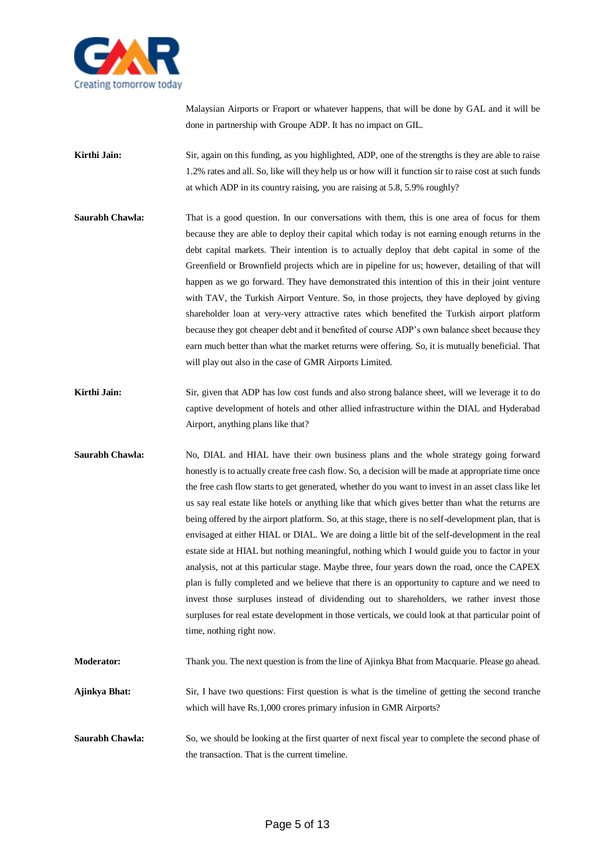

Malaysian Airports or Fraport or whatever happens, that will be done by GAL and it will be done in partnership with Groupe ADP. It has no impact on GIL.

**Kirthi Jain:** Sir, again on this funding, as you highlighted, ADP, one of the strengths is they are able to raise 1.2% rates and all. So, like will they help us or how will it function sir to raise cost at such funds at which ADP in its country raising, you are raising at 5.8, 5.9% roughly?

- **Saurabh Chawla:** That is a good question. In our conversations with them, this is one area of focus for them because they are able to deploy their capital which today is not earning enough returns in the debt capital markets. Their intention is to actually deploy that debt capital in some of the Greenfield or Brownfield projects which are in pipeline for us; however, detailing of that will happen as we go forward. They have demonstrated this intention of this in their joint venture with TAV, the Turkish Airport Venture. So, in those projects, they have deployed by giving shareholder loan at very-very attractive rates which benefited the Turkish airport platform because they got cheaper debt and it benefited of course ADP's own balance sheet because they earn much better than what the market returns were offering. So, it is mutually beneficial. That will play out also in the case of GMR Airports Limited.
- **Kirthi Jain:** Sir, given that ADP has low cost funds and also strong balance sheet, will we leverage it to do captive development of hotels and other allied infrastructure within the DIAL and Hyderabad Airport, anything plans like that?
- **Saurabh Chawla:** No, DIAL and HIAL have their own business plans and the whole strategy going forward honestly is to actually create free cash flow. So, a decision will be made at appropriate time once the free cash flow starts to get generated, whether do you want to invest in an asset class like let us say real estate like hotels or anything like that which gives better than what the returns are being offered by the airport platform. So, at this stage, there is no self-development plan, that is envisaged at either HIAL or DIAL. We are doing a little bit of the self-development in the real estate side at HIAL but nothing meaningful, nothing which I would guide you to factor in your analysis, not at this particular stage. Maybe three, four years down the road, once the CAPEX plan is fully completed and we believe that there is an opportunity to capture and we need to invest those surpluses instead of dividending out to shareholders, we rather invest those surpluses for real estate development in those verticals, we could look at that particular point of time, nothing right now.

**Moderator:** Thank you. The next question is from the line of Ajinkya Bhat from Macquarie. Please go ahead.

- **Ajinkya Bhat:** Sir, I have two questions: First question is what is the timeline of getting the second tranche which will have Rs.1,000 crores primary infusion in GMR Airports?
- **Saurabh Chawla:** So, we should be looking at the first quarter of next fiscal year to complete the second phase of the transaction. That is the current timeline.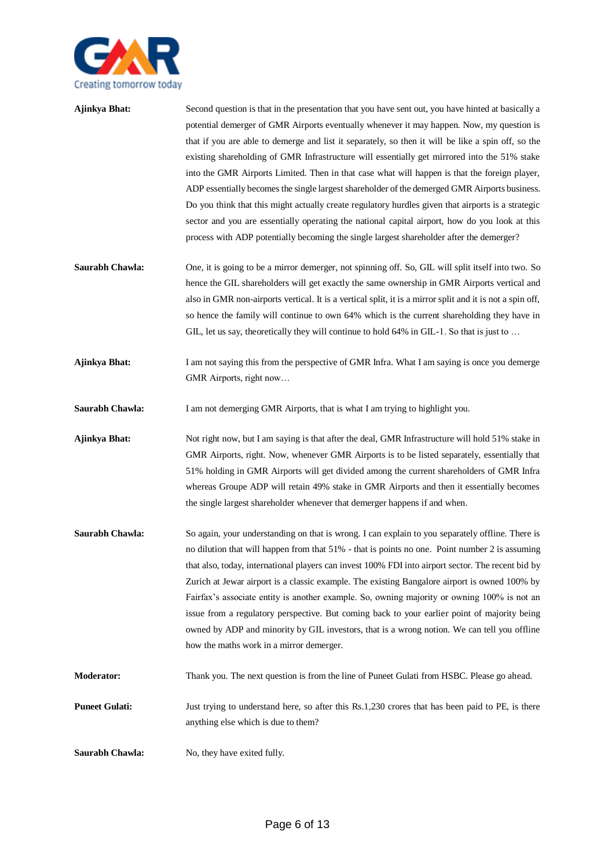

| Ajinkya Bhat: | Second question is that in the presentation that you have sent out, you have hinted at basically a |
|---------------|----------------------------------------------------------------------------------------------------|
|               | potential demerger of GMR Airports eventually whenever it may happen. Now, my question is          |
|               | that if you are able to demerge and list it separately, so then it will be like a spin off, so the |
|               | existing shareholding of GMR Infrastructure will essentially get mirrored into the 51% stake       |
|               | into the GMR Airports Limited. Then in that case what will happen is that the foreign player,      |
|               | ADP essentially becomes the single largest shareholder of the demerged GMR Airports business.      |
|               | Do you think that this might actually create regulatory hurdles given that airports is a strategic |
|               | sector and you are essentially operating the national capital airport, how do you look at this     |
|               | process with ADP potentially becoming the single largest shareholder after the demerger?           |
|               |                                                                                                    |
|               |                                                                                                    |

- **Saurabh Chawla:** One, it is going to be a mirror demerger, not spinning off. So, GIL will split itself into two. So hence the GIL shareholders will get exactly the same ownership in GMR Airports vertical and also in GMR non-airports vertical. It is a vertical split, it is a mirror split and it is not a spin off, so hence the family will continue to own 64% which is the current shareholding they have in GIL, let us say, theoretically they will continue to hold 64% in GIL-1. So that is just to …
- **Ajinkya Bhat:** I am not saying this from the perspective of GMR Infra. What I am saying is once you demerge GMR Airports, right now…

**Saurabh Chawla:** I am not demerging GMR Airports, that is what I am trying to highlight you.

**Ajinkya Bhat:** Not right now, but I am saying is that after the deal, GMR Infrastructure will hold 51% stake in GMR Airports, right. Now, whenever GMR Airports is to be listed separately, essentially that 51% holding in GMR Airports will get divided among the current shareholders of GMR Infra whereas Groupe ADP will retain 49% stake in GMR Airports and then it essentially becomes the single largest shareholder whenever that demerger happens if and when.

**Saurabh Chawla:** So again, your understanding on that is wrong. I can explain to you separately offline. There is no dilution that will happen from that 51% - that is points no one. Point number 2 is assuming that also, today, international players can invest 100% FDI into airport sector. The recent bid by Zurich at Jewar airport is a classic example. The existing Bangalore airport is owned 100% by Fairfax's associate entity is another example. So, owning majority or owning 100% is not an issue from a regulatory perspective. But coming back to your earlier point of majority being owned by ADP and minority by GIL investors, that is a wrong notion. We can tell you offline how the maths work in a mirror demerger.

**Moderator:** Thank you. The next question is from the line of Puneet Gulati from HSBC. Please go ahead.

**Puneet Gulati:** Just trying to understand here, so after this Rs.1,230 crores that has been paid to PE, is there anything else which is due to them?

**Saurabh Chawla:** No, they have exited fully.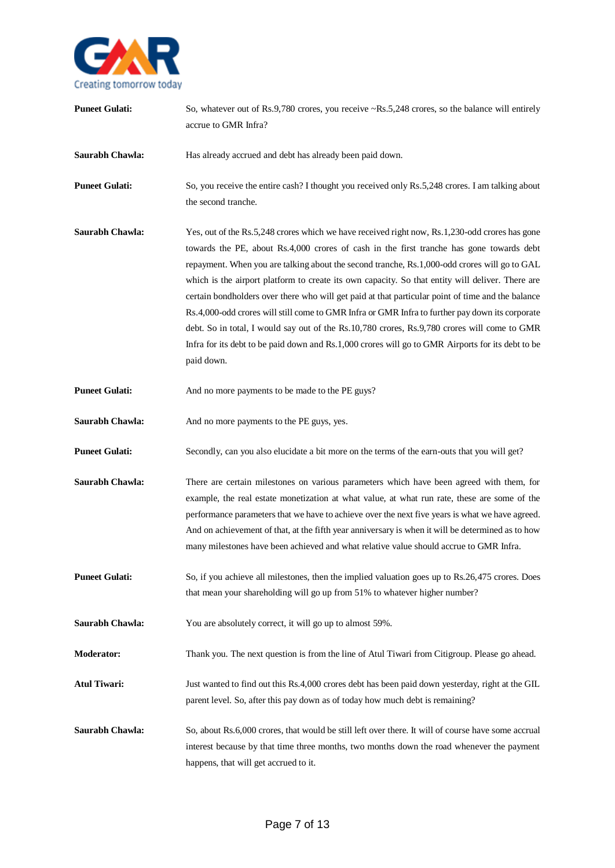

| <b>Puneet Gulati:</b> | So, whatever out of Rs.9,780 crores, you receive ~Rs.5,248 crores, so the balance will entirely<br>accrue to GMR Infra?                                                                                                                                                                                                                                                                                                                                                                                                                                                                                                                                                                                                                                                                                                   |
|-----------------------|---------------------------------------------------------------------------------------------------------------------------------------------------------------------------------------------------------------------------------------------------------------------------------------------------------------------------------------------------------------------------------------------------------------------------------------------------------------------------------------------------------------------------------------------------------------------------------------------------------------------------------------------------------------------------------------------------------------------------------------------------------------------------------------------------------------------------|
| Saurabh Chawla:       | Has already accrued and debt has already been paid down.                                                                                                                                                                                                                                                                                                                                                                                                                                                                                                                                                                                                                                                                                                                                                                  |
| <b>Puneet Gulati:</b> | So, you receive the entire cash? I thought you received only Rs.5,248 crores. I am talking about<br>the second tranche.                                                                                                                                                                                                                                                                                                                                                                                                                                                                                                                                                                                                                                                                                                   |
| Saurabh Chawla:       | Yes, out of the Rs.5,248 crores which we have received right now, Rs.1,230-odd crores has gone<br>towards the PE, about Rs.4,000 crores of cash in the first tranche has gone towards debt<br>repayment. When you are talking about the second tranche, Rs.1,000-odd crores will go to GAL<br>which is the airport platform to create its own capacity. So that entity will deliver. There are<br>certain bondholders over there who will get paid at that particular point of time and the balance<br>Rs.4,000-odd crores will still come to GMR Infra or GMR Infra to further pay down its corporate<br>debt. So in total, I would say out of the Rs.10,780 crores, Rs.9,780 crores will come to GMR<br>Infra for its debt to be paid down and Rs.1,000 crores will go to GMR Airports for its debt to be<br>paid down. |
| <b>Puneet Gulati:</b> | And no more payments to be made to the PE guys?                                                                                                                                                                                                                                                                                                                                                                                                                                                                                                                                                                                                                                                                                                                                                                           |
| Saurabh Chawla:       | And no more payments to the PE guys, yes.                                                                                                                                                                                                                                                                                                                                                                                                                                                                                                                                                                                                                                                                                                                                                                                 |
| <b>Puneet Gulati:</b> | Secondly, can you also elucidate a bit more on the terms of the earn-outs that you will get?                                                                                                                                                                                                                                                                                                                                                                                                                                                                                                                                                                                                                                                                                                                              |
| Saurabh Chawla:       | There are certain milestones on various parameters which have been agreed with them, for<br>example, the real estate monetization at what value, at what run rate, these are some of the<br>performance parameters that we have to achieve over the next five years is what we have agreed.<br>And on achievement of that, at the fifth year anniversary is when it will be determined as to how<br>many milestones have been achieved and what relative value should accrue to GMR Infra.                                                                                                                                                                                                                                                                                                                                |
| <b>Puneet Gulati:</b> | So, if you achieve all milestones, then the implied valuation goes up to Rs.26,475 crores. Does<br>that mean your shareholding will go up from 51% to whatever higher number?                                                                                                                                                                                                                                                                                                                                                                                                                                                                                                                                                                                                                                             |
| Saurabh Chawla:       | You are absolutely correct, it will go up to almost 59%.                                                                                                                                                                                                                                                                                                                                                                                                                                                                                                                                                                                                                                                                                                                                                                  |
| Moderator:            | Thank you. The next question is from the line of Atul Tiwari from Citigroup. Please go ahead.                                                                                                                                                                                                                                                                                                                                                                                                                                                                                                                                                                                                                                                                                                                             |
| <b>Atul Tiwari:</b>   | Just wanted to find out this Rs.4,000 crores debt has been paid down yesterday, right at the GIL<br>parent level. So, after this pay down as of today how much debt is remaining?                                                                                                                                                                                                                                                                                                                                                                                                                                                                                                                                                                                                                                         |
| Saurabh Chawla:       | So, about Rs.6,000 crores, that would be still left over there. It will of course have some accrual<br>interest because by that time three months, two months down the road whenever the payment<br>happens, that will get accrued to it.                                                                                                                                                                                                                                                                                                                                                                                                                                                                                                                                                                                 |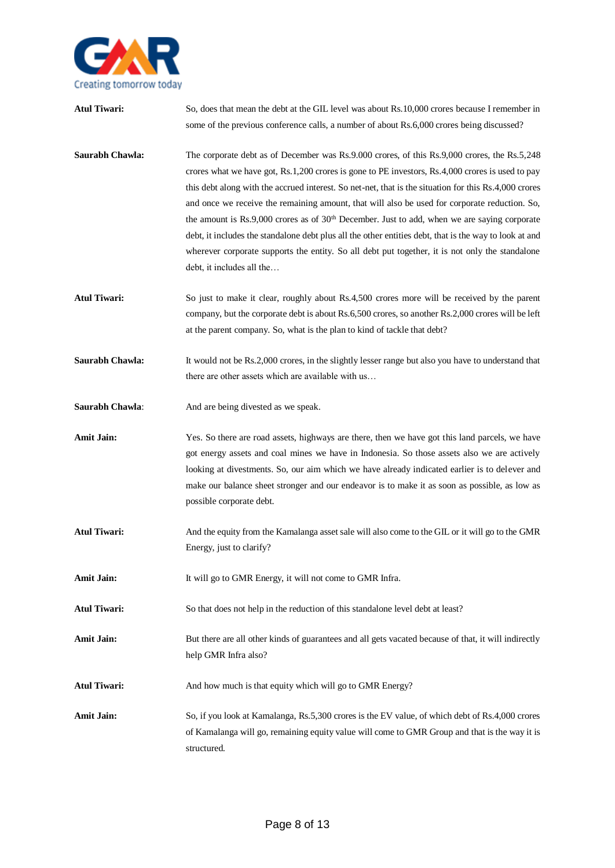

| <b>Atul Tiwari:</b> | So, does that mean the debt at the GIL level was about Rs.10,000 crores because I remember in<br>some of the previous conference calls, a number of about Rs.6,000 crores being discussed?                                                                                                                                                                                                                                                                                                                                                                                                                                                                                                                                                             |
|---------------------|--------------------------------------------------------------------------------------------------------------------------------------------------------------------------------------------------------------------------------------------------------------------------------------------------------------------------------------------------------------------------------------------------------------------------------------------------------------------------------------------------------------------------------------------------------------------------------------------------------------------------------------------------------------------------------------------------------------------------------------------------------|
| Saurabh Chawla:     | The corporate debt as of December was Rs.9.000 crores, of this Rs.9,000 crores, the Rs.5,248<br>crores what we have got, Rs.1,200 crores is gone to PE investors, Rs.4,000 crores is used to pay<br>this debt along with the accrued interest. So net-net, that is the situation for this Rs.4,000 crores<br>and once we receive the remaining amount, that will also be used for corporate reduction. So,<br>the amount is Rs.9,000 crores as of $30th$ December. Just to add, when we are saying corporate<br>debt, it includes the standalone debt plus all the other entities debt, that is the way to look at and<br>wherever corporate supports the entity. So all debt put together, it is not only the standalone<br>debt, it includes all the |
| <b>Atul Tiwari:</b> | So just to make it clear, roughly about Rs.4,500 crores more will be received by the parent<br>company, but the corporate debt is about Rs.6,500 crores, so another Rs.2,000 crores will be left<br>at the parent company. So, what is the plan to kind of tackle that debt?                                                                                                                                                                                                                                                                                                                                                                                                                                                                           |
| Saurabh Chawla:     | It would not be Rs.2,000 crores, in the slightly lesser range but also you have to understand that<br>there are other assets which are available with us                                                                                                                                                                                                                                                                                                                                                                                                                                                                                                                                                                                               |
| Saurabh Chawla:     | And are being divested as we speak.                                                                                                                                                                                                                                                                                                                                                                                                                                                                                                                                                                                                                                                                                                                    |
| <b>Amit Jain:</b>   | Yes. So there are road assets, highways are there, then we have got this land parcels, we have<br>got energy assets and coal mines we have in Indonesia. So those assets also we are actively<br>looking at divestments. So, our aim which we have already indicated earlier is to delever and<br>make our balance sheet stronger and our endeavor is to make it as soon as possible, as low as<br>possible corporate debt.                                                                                                                                                                                                                                                                                                                            |
| <b>Atul Tiwari:</b> | And the equity from the Kamalanga asset sale will also come to the GIL or it will go to the GMR<br>Energy, just to clarify?                                                                                                                                                                                                                                                                                                                                                                                                                                                                                                                                                                                                                            |
| <b>Amit Jain:</b>   | It will go to GMR Energy, it will not come to GMR Infra.                                                                                                                                                                                                                                                                                                                                                                                                                                                                                                                                                                                                                                                                                               |
| <b>Atul Tiwari:</b> | So that does not help in the reduction of this standalone level debt at least?                                                                                                                                                                                                                                                                                                                                                                                                                                                                                                                                                                                                                                                                         |
| <b>Amit Jain:</b>   | But there are all other kinds of guarantees and all gets vacated because of that, it will indirectly<br>help GMR Infra also?                                                                                                                                                                                                                                                                                                                                                                                                                                                                                                                                                                                                                           |
| <b>Atul Tiwari:</b> | And how much is that equity which will go to GMR Energy?                                                                                                                                                                                                                                                                                                                                                                                                                                                                                                                                                                                                                                                                                               |
| <b>Amit Jain:</b>   | So, if you look at Kamalanga, Rs.5,300 crores is the EV value, of which debt of Rs.4,000 crores<br>of Kamalanga will go, remaining equity value will come to GMR Group and that is the way it is<br>structured.                                                                                                                                                                                                                                                                                                                                                                                                                                                                                                                                        |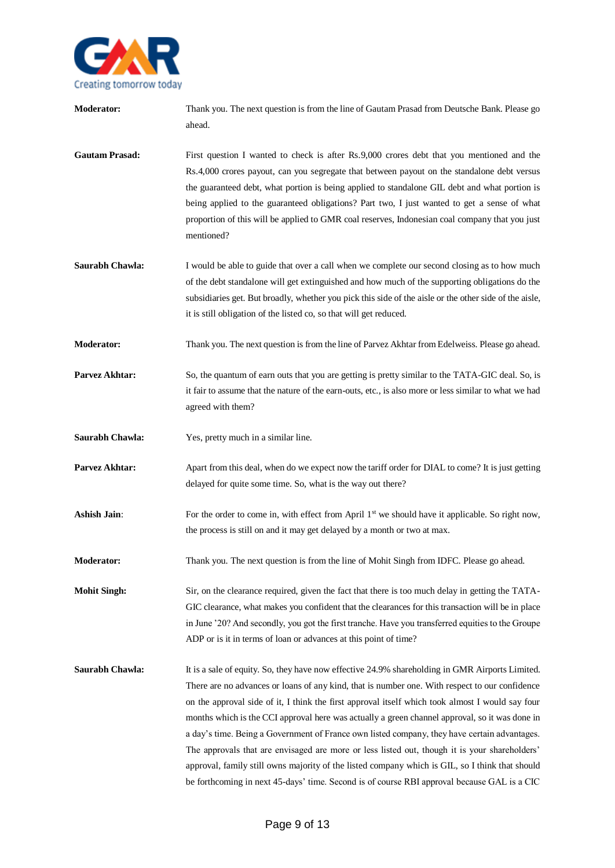

**Moderator:** Thank you. The next question is from the line of Gautam Prasad from Deutsche Bank. Please go ahead. Gautam Prasad: First question I wanted to check is after Rs.9,000 crores debt that you mentioned and the Rs.4,000 crores payout, can you segregate that between payout on the standalone debt versus the guaranteed debt, what portion is being applied to standalone GIL debt and what portion is being applied to the guaranteed obligations? Part two, I just wanted to get a sense of what proportion of this will be applied to GMR coal reserves, Indonesian coal company that you just mentioned? **Saurabh Chawla:** I would be able to guide that over a call when we complete our second closing as to how much of the debt standalone will get extinguished and how much of the supporting obligations do the subsidiaries get. But broadly, whether you pick this side of the aisle or the other side of the aisle, it is still obligation of the listed co, so that will get reduced. **Moderator:** Thank you. The next question is from the line of Parvez Akhtar from Edelweiss. Please go ahead. **Parvez Akhtar:** So, the quantum of earn outs that you are getting is pretty similar to the TATA-GIC deal. So, is it fair to assume that the nature of the earn-outs, etc., is also more or less similar to what we had agreed with them? **Saurabh Chawla:** Yes, pretty much in a similar line. **Parvez Akhtar:** Apart from this deal, when do we expect now the tariff order for DIAL to come? It is just getting delayed for quite some time. So, what is the way out there? **Ashish Jain:** For the order to come in, with effect from April 1<sup>st</sup> we should have it applicable. So right now, the process is still on and it may get delayed by a month or two at max. **Moderator:** Thank you. The next question is from the line of Mohit Singh from IDFC. Please go ahead. **Mohit Singh:** Sir, on the clearance required, given the fact that there is too much delay in getting the TATA-GIC clearance, what makes you confident that the clearances for this transaction will be in place in June '20? And secondly, you got the first tranche. Have you transferred equities to the Groupe ADP or is it in terms of loan or advances at this point of time? **Saurabh Chawla:** It is a sale of equity. So, they have now effective 24.9% shareholding in GMR Airports Limited. There are no advances or loans of any kind, that is number one. With respect to our confidence on the approval side of it, I think the first approval itself which took almost I would say four months which is the CCI approval here was actually a green channel approval, so it was done in a day's time. Being a Government of France own listed company, they have certain advantages. The approvals that are envisaged are more or less listed out, though it is your shareholders' approval, family still owns majority of the listed company which is GIL, so I think that should be forthcoming in next 45-days' time. Second is of course RBI approval because GAL is a CIC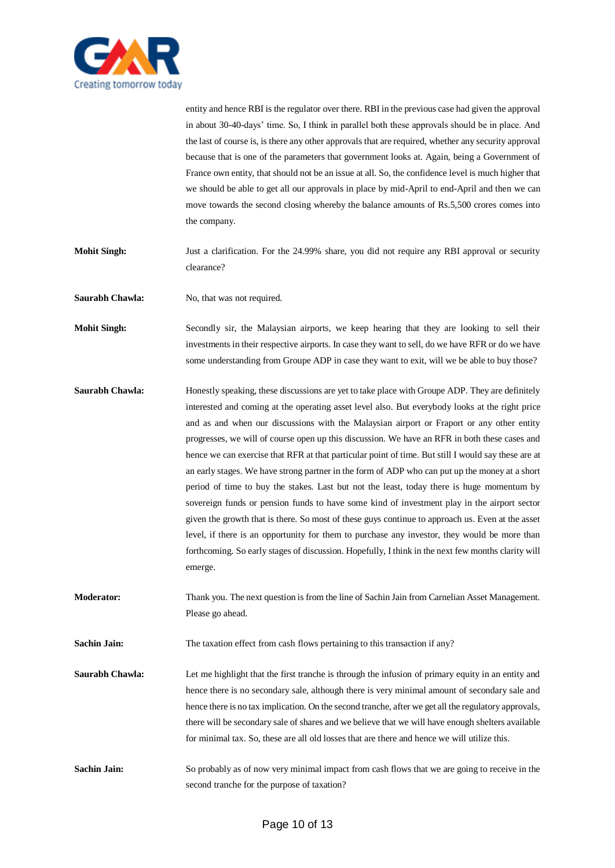

entity and hence RBI is the regulator over there. RBI in the previous case had given the approval in about 30-40-days' time. So, I think in parallel both these approvals should be in place. And the last of course is, is there any other approvals that are required, whether any security approval because that is one of the parameters that government looks at. Again, being a Government of France own entity, that should not be an issue at all. So, the confidence level is much higher that we should be able to get all our approvals in place by mid-April to end-April and then we can move towards the second closing whereby the balance amounts of Rs.5,500 crores comes into the company.

**Mohit Singh:** Just a clarification. For the 24.99% share, you did not require any RBI approval or security clearance?

**Saurabh Chawla:** No, that was not required.

**Mohit Singh:** Secondly sir, the Malaysian airports, we keep hearing that they are looking to sell their investments in their respective airports. In case they want to sell, do we have RFR or do we have some understanding from Groupe ADP in case they want to exit, will we be able to buy those?

- **Saurabh Chawla:** Honestly speaking, these discussions are yet to take place with Groupe ADP. They are definitely interested and coming at the operating asset level also. But everybody looks at the right price and as and when our discussions with the Malaysian airport or Fraport or any other entity progresses, we will of course open up this discussion. We have an RFR in both these cases and hence we can exercise that RFR at that particular point of time. But still I would say these are at an early stages. We have strong partner in the form of ADP who can put up the money at a short period of time to buy the stakes. Last but not the least, today there is huge momentum by sovereign funds or pension funds to have some kind of investment play in the airport sector given the growth that is there. So most of these guys continue to approach us. Even at the asset level, if there is an opportunity for them to purchase any investor, they would be more than forthcoming. So early stages of discussion. Hopefully, I think in the next few months clarity will emerge.
- **Moderator:** Thank you. The next question is from the line of Sachin Jain from Carnelian Asset Management. Please go ahead.

**Sachin Jain:** The taxation effect from cash flows pertaining to this transaction if any?

**Saurabh Chawla:** Let me highlight that the first tranche is through the infusion of primary equity in an entity and hence there is no secondary sale, although there is very minimal amount of secondary sale and hence there is no tax implication. On the second tranche, after we get all the regulatory approvals, there will be secondary sale of shares and we believe that we will have enough shelters available for minimal tax. So, these are all old losses that are there and hence we will utilize this.

**Sachin Jain:** So probably as of now very minimal impact from cash flows that we are going to receive in the second tranche for the purpose of taxation?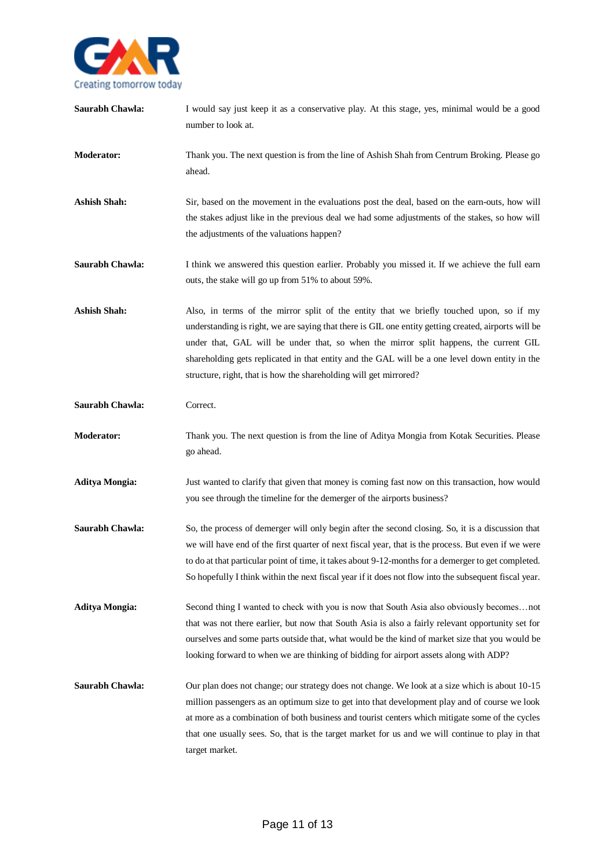

| Saurabh Chawla:       | I would say just keep it as a conservative play. At this stage, yes, minimal would be a good<br>number to look at.                                                                                                                                                                                                                                                                                                                                              |
|-----------------------|-----------------------------------------------------------------------------------------------------------------------------------------------------------------------------------------------------------------------------------------------------------------------------------------------------------------------------------------------------------------------------------------------------------------------------------------------------------------|
| <b>Moderator:</b>     | Thank you. The next question is from the line of Ashish Shah from Centrum Broking. Please go<br>ahead.                                                                                                                                                                                                                                                                                                                                                          |
| <b>Ashish Shah:</b>   | Sir, based on the movement in the evaluations post the deal, based on the earn-outs, how will<br>the stakes adjust like in the previous deal we had some adjustments of the stakes, so how will<br>the adjustments of the valuations happen?                                                                                                                                                                                                                    |
| Saurabh Chawla:       | I think we answered this question earlier. Probably you missed it. If we achieve the full earn<br>outs, the stake will go up from 51% to about 59%.                                                                                                                                                                                                                                                                                                             |
| <b>Ashish Shah:</b>   | Also, in terms of the mirror split of the entity that we briefly touched upon, so if my<br>understanding is right, we are saying that there is GIL one entity getting created, airports will be<br>under that, GAL will be under that, so when the mirror split happens, the current GIL<br>shareholding gets replicated in that entity and the GAL will be a one level down entity in the<br>structure, right, that is how the shareholding will get mirrored? |
| Saurabh Chawla:       | Correct.                                                                                                                                                                                                                                                                                                                                                                                                                                                        |
| <b>Moderator:</b>     | Thank you. The next question is from the line of Aditya Mongia from Kotak Securities. Please<br>go ahead.                                                                                                                                                                                                                                                                                                                                                       |
| <b>Aditya Mongia:</b> | Just wanted to clarify that given that money is coming fast now on this transaction, how would<br>you see through the timeline for the demerger of the airports business?                                                                                                                                                                                                                                                                                       |
| Saurabh Chawla:       | So, the process of demerger will only begin after the second closing. So, it is a discussion that<br>we will have end of the first quarter of next fiscal year, that is the process. But even if we were<br>to do at that particular point of time, it takes about 9-12-months for a demerger to get completed.<br>So hopefully I think within the next fiscal year if it does not flow into the subsequent fiscal year.                                        |
| <b>Aditya Mongia:</b> | Second thing I wanted to check with you is now that South Asia also obviously becomesnot<br>that was not there earlier, but now that South Asia is also a fairly relevant opportunity set for<br>ourselves and some parts outside that, what would be the kind of market size that you would be<br>looking forward to when we are thinking of bidding for airport assets along with ADP?                                                                        |
| Saurabh Chawla:       | Our plan does not change; our strategy does not change. We look at a size which is about 10-15<br>million passengers as an optimum size to get into that development play and of course we look<br>at more as a combination of both business and tourist centers which mitigate some of the cycles<br>that one usually sees. So, that is the target market for us and we will continue to play in that<br>target market.                                        |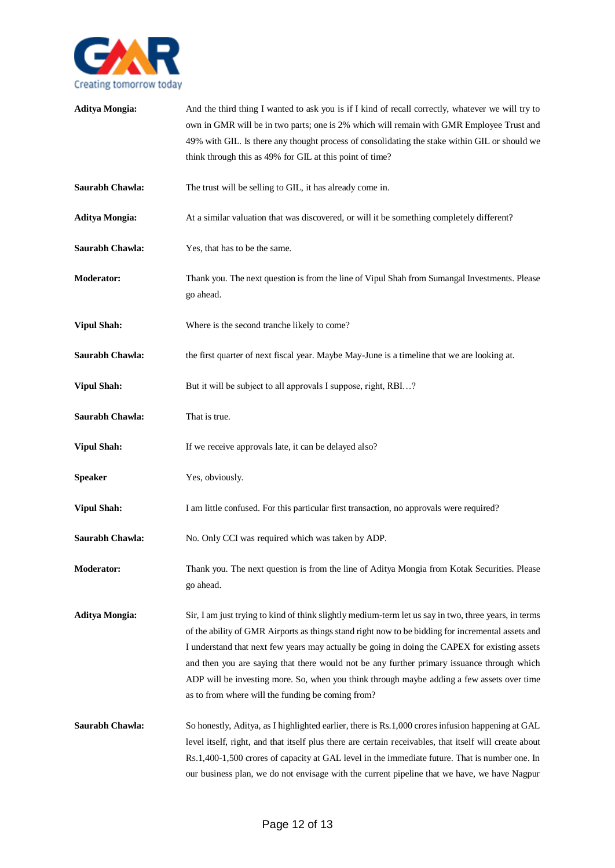

| <b>Aditya Mongia:</b> | And the third thing I wanted to ask you is if I kind of recall correctly, whatever we will try to<br>own in GMR will be in two parts; one is 2% which will remain with GMR Employee Trust and<br>49% with GIL. Is there any thought process of consolidating the stake within GIL or should we<br>think through this as 49% for GIL at this point of time?                                                                                                                                                                                                  |
|-----------------------|-------------------------------------------------------------------------------------------------------------------------------------------------------------------------------------------------------------------------------------------------------------------------------------------------------------------------------------------------------------------------------------------------------------------------------------------------------------------------------------------------------------------------------------------------------------|
| Saurabh Chawla:       | The trust will be selling to GIL, it has already come in.                                                                                                                                                                                                                                                                                                                                                                                                                                                                                                   |
| <b>Aditya Mongia:</b> | At a similar valuation that was discovered, or will it be something completely different?                                                                                                                                                                                                                                                                                                                                                                                                                                                                   |
| Saurabh Chawla:       | Yes, that has to be the same.                                                                                                                                                                                                                                                                                                                                                                                                                                                                                                                               |
| <b>Moderator:</b>     | Thank you. The next question is from the line of Vipul Shah from Sumangal Investments. Please<br>go ahead.                                                                                                                                                                                                                                                                                                                                                                                                                                                  |
| <b>Vipul Shah:</b>    | Where is the second tranche likely to come?                                                                                                                                                                                                                                                                                                                                                                                                                                                                                                                 |
| Saurabh Chawla:       | the first quarter of next fiscal year. Maybe May-June is a timeline that we are looking at.                                                                                                                                                                                                                                                                                                                                                                                                                                                                 |
| <b>Vipul Shah:</b>    | But it will be subject to all approvals I suppose, right, RBI?                                                                                                                                                                                                                                                                                                                                                                                                                                                                                              |
| Saurabh Chawla:       | That is true.                                                                                                                                                                                                                                                                                                                                                                                                                                                                                                                                               |
| <b>Vipul Shah:</b>    | If we receive approvals late, it can be delayed also?                                                                                                                                                                                                                                                                                                                                                                                                                                                                                                       |
| <b>Speaker</b>        | Yes, obviously.                                                                                                                                                                                                                                                                                                                                                                                                                                                                                                                                             |
| <b>Vipul Shah:</b>    | I am little confused. For this particular first transaction, no approvals were required?                                                                                                                                                                                                                                                                                                                                                                                                                                                                    |
| Saurabh Chawla:       | No. Only CCI was required which was taken by ADP.                                                                                                                                                                                                                                                                                                                                                                                                                                                                                                           |
| <b>Moderator:</b>     | Thank you. The next question is from the line of Aditya Mongia from Kotak Securities. Please<br>go ahead.                                                                                                                                                                                                                                                                                                                                                                                                                                                   |
| <b>Aditya Mongia:</b> | Sir, I am just trying to kind of think slightly medium-term let us say in two, three years, in terms<br>of the ability of GMR Airports as things stand right now to be bidding for incremental assets and<br>I understand that next few years may actually be going in doing the CAPEX for existing assets<br>and then you are saying that there would not be any further primary issuance through which<br>ADP will be investing more. So, when you think through maybe adding a few assets over time<br>as to from where will the funding be coming from? |
| Saurabh Chawla:       | So honestly, Aditya, as I highlighted earlier, there is Rs.1,000 crores infusion happening at GAL<br>level itself, right, and that itself plus there are certain receivables, that itself will create about<br>Rs.1,400-1,500 crores of capacity at GAL level in the immediate future. That is number one. In<br>our business plan, we do not envisage with the current pipeline that we have, we have Nagpur                                                                                                                                               |